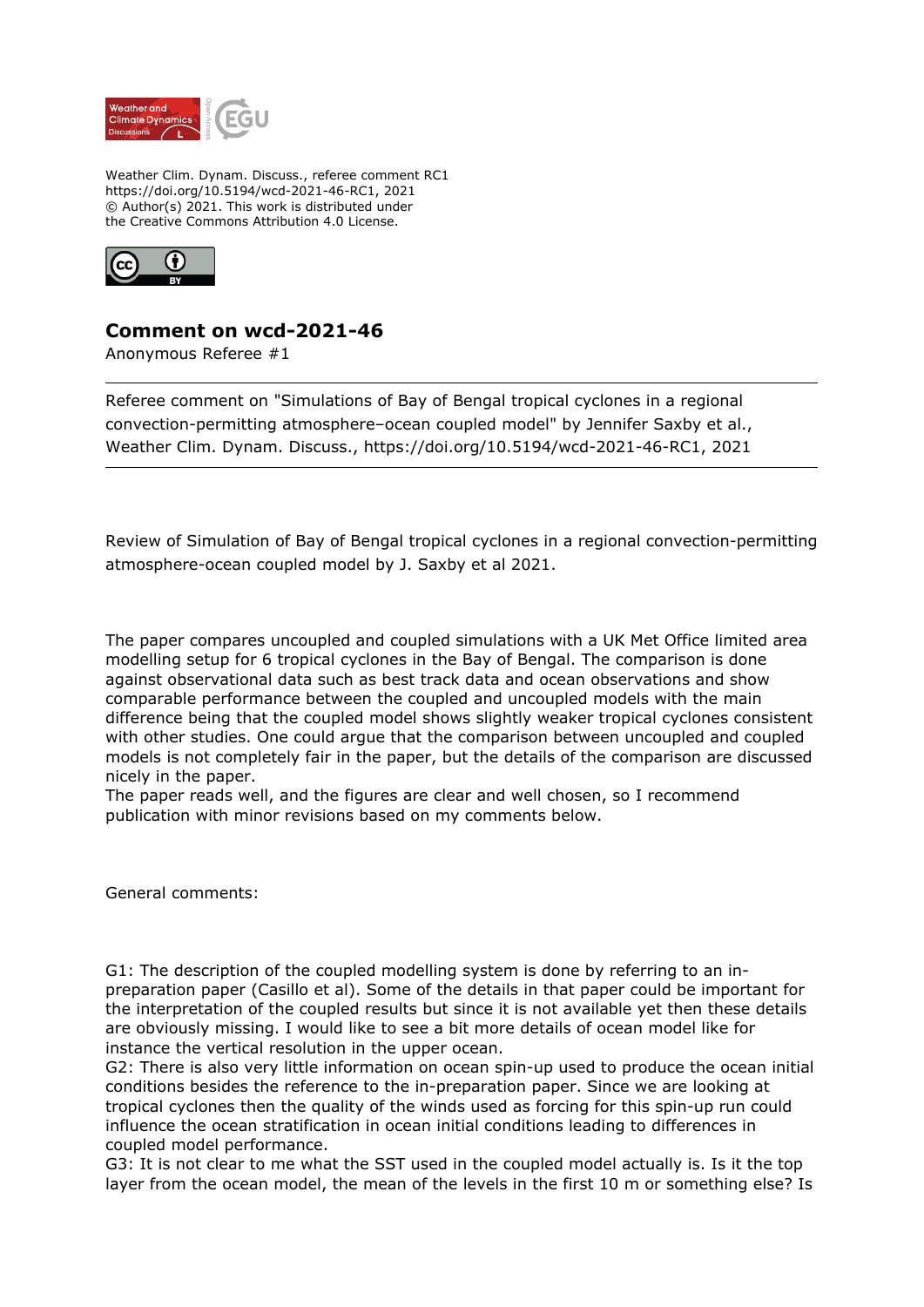

Weather Clim. Dynam. Discuss., referee comment RC1 https://doi.org/10.5194/wcd-2021-46-RC1, 2021 © Author(s) 2021. This work is distributed under the Creative Commons Attribution 4.0 License.



## **Comment on wcd-2021-46**

Anonymous Referee #1

Referee comment on "Simulations of Bay of Bengal tropical cyclones in a regional convection-permitting atmosphere–ocean coupled model" by Jennifer Saxby et al., Weather Clim. Dynam. Discuss., https://doi.org/10.5194/wcd-2021-46-RC1, 2021

Review of Simulation of Bay of Bengal tropical cyclones in a regional convection-permitting atmosphere-ocean coupled model by J. Saxby et al 2021.

The paper compares uncoupled and coupled simulations with a UK Met Office limited area modelling setup for 6 tropical cyclones in the Bay of Bengal. The comparison is done against observational data such as best track data and ocean observations and show comparable performance between the coupled and uncoupled models with the main difference being that the coupled model shows slightly weaker tropical cyclones consistent with other studies. One could argue that the comparison between uncoupled and coupled models is not completely fair in the paper, but the details of the comparison are discussed nicely in the paper.

The paper reads well, and the figures are clear and well chosen, so I recommend publication with minor revisions based on my comments below.

General comments:

G1: The description of the coupled modelling system is done by referring to an inpreparation paper (Casillo et al). Some of the details in that paper could be important for the interpretation of the coupled results but since it is not available yet then these details are obviously missing. I would like to see a bit more details of ocean model like for instance the vertical resolution in the upper ocean.

G2: There is also very little information on ocean spin-up used to produce the ocean initial conditions besides the reference to the in-preparation paper. Since we are looking at tropical cyclones then the quality of the winds used as forcing for this spin-up run could influence the ocean stratification in ocean initial conditions leading to differences in coupled model performance.

G3: It is not clear to me what the SST used in the coupled model actually is. Is it the top layer from the ocean model, the mean of the levels in the first 10 m or something else? Is